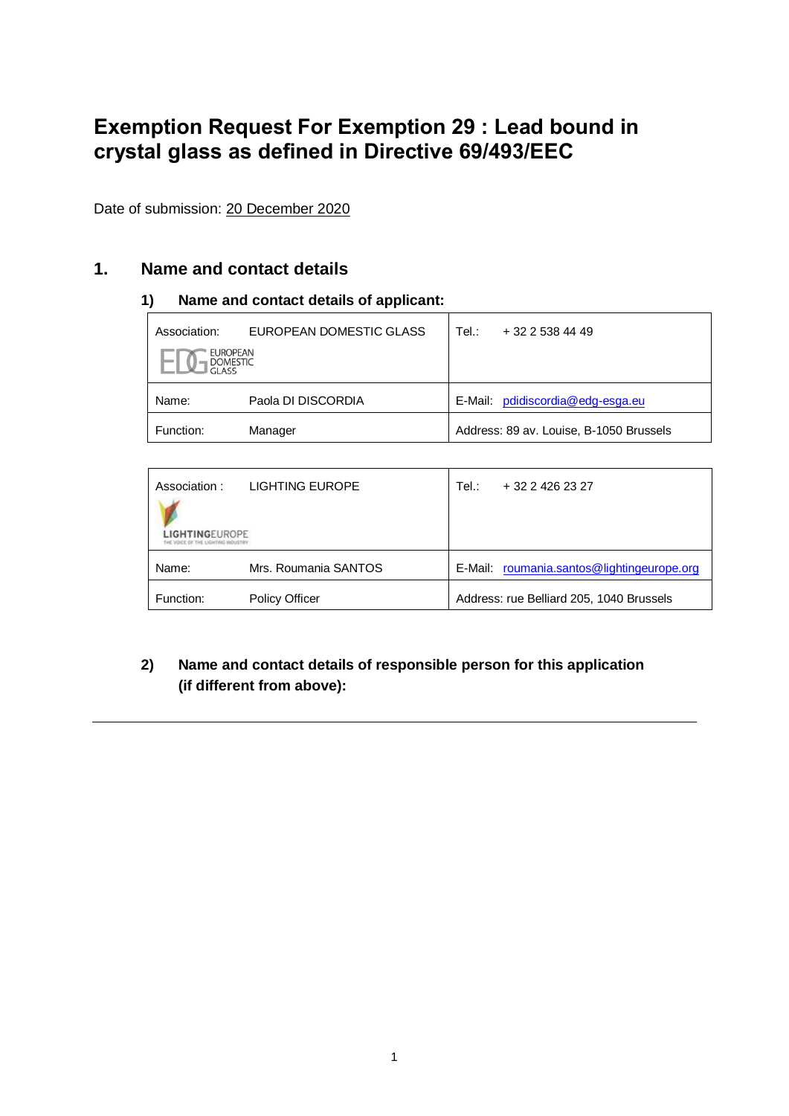# **Exemption Request For Exemption 29 : Lead bound in crystal glass as defined in Directive 69/493/EEC**

Date of submission: 20 December 2020

### **1. Name and contact details**

### **1) Name and contact details of applicant:**

| Association:                                | EUROPEAN DOMESTIC GLASS | Tel: | $+3225384449$                           |
|---------------------------------------------|-------------------------|------|-----------------------------------------|
| <b>EUROPEAN</b><br><b>DOMESTIC</b><br>GLASS |                         |      |                                         |
| Name:                                       | Paola DI DISCORDIA      |      | E-Mail: pdidiscordia@edg-esga.eu        |
| Function:                                   | Manager                 |      | Address: 89 av. Louise, B-1050 Brussels |

| Association:<br><b>LIGHTINGFUROPE</b> | LIGHTING EUROPE       | Tel.: | + 32 2 426 23 27                           |
|---------------------------------------|-----------------------|-------|--------------------------------------------|
| Name:                                 | Mrs. Roumania SANTOS  |       | E-Mail: roumania.santos@lightingeurope.org |
| Function:                             | <b>Policy Officer</b> |       | Address: rue Belliard 205, 1040 Brussels   |

### **2) Name and contact details of responsible person for this application (if different from above):**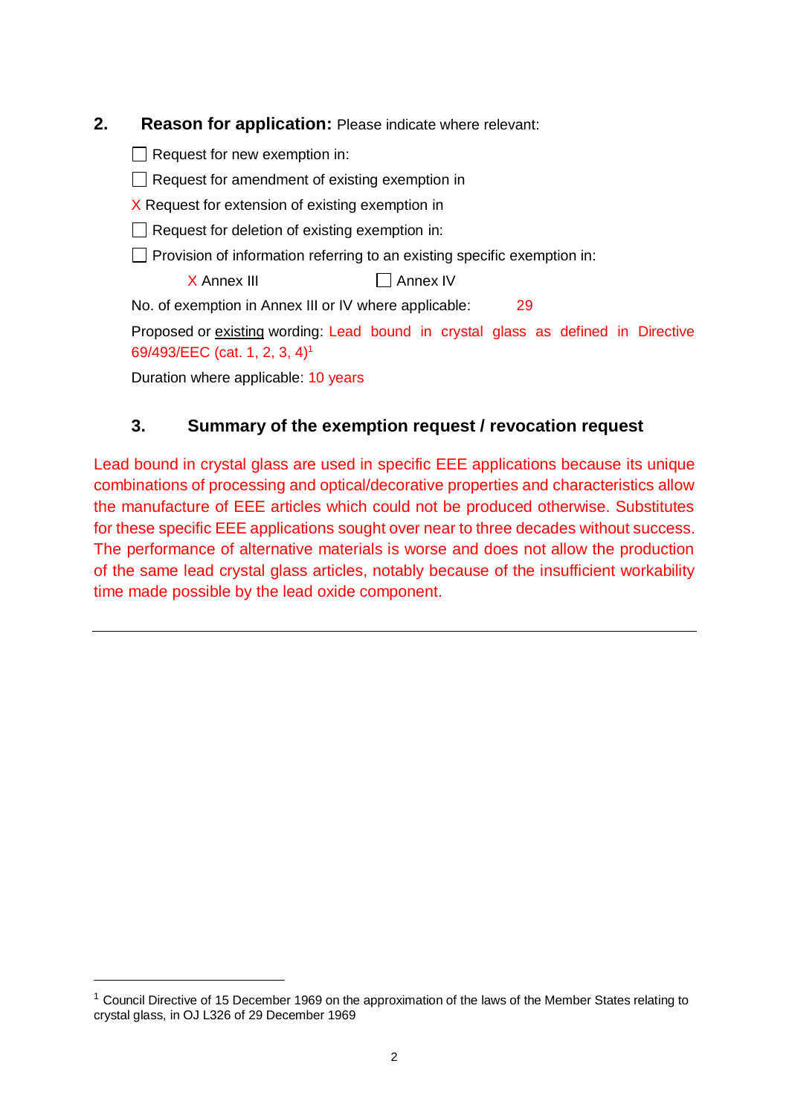| 2. | <b>Reason for application:</b> Please indicate where relevant:                    |
|----|-----------------------------------------------------------------------------------|
|    | Request for new exemption in:                                                     |
|    | $\Box$ Request for amendment of existing exemption in                             |
|    | X Request for extension of existing exemption in                                  |
|    | $\Box$ Request for deletion of existing exemption in:                             |
|    | $\Box$ Provision of information referring to an existing specific exemption in:   |
|    | X Annex III<br>Annex <sub>IV</sub>                                                |
|    | No. of exemption in Annex III or IV where applicable:<br>29                       |
|    | Proposed or existing wording: Lead bound in crystal glass as defined in Directive |
|    | 69/493/EEC (cat. 1, 2, 3, 4) <sup>1</sup>                                         |
|    | Duration where applicable: 10 years                                               |
|    |                                                                                   |

# **3. Summary of the exemption request / revocation request**

Lead bound in crystal glass are used in specific EEE applications because its unique combinations of processing and optical/decorative properties and characteristics allow the manufacture of EEE articles which could not be produced otherwise. Substitutes for these specific EEE applications sought over near to three decades without success. The performance of alternative materials is worse and does not allow the production of the same lead crystal glass articles, notably because of the insufficient workability time made possible by the lead oxide component.

<sup>&</sup>lt;sup>1</sup> Council Directive of 15 December 1969 on the approximation of the laws of the Member States relating to crystal glass, in OJ L326 of 29 December 1969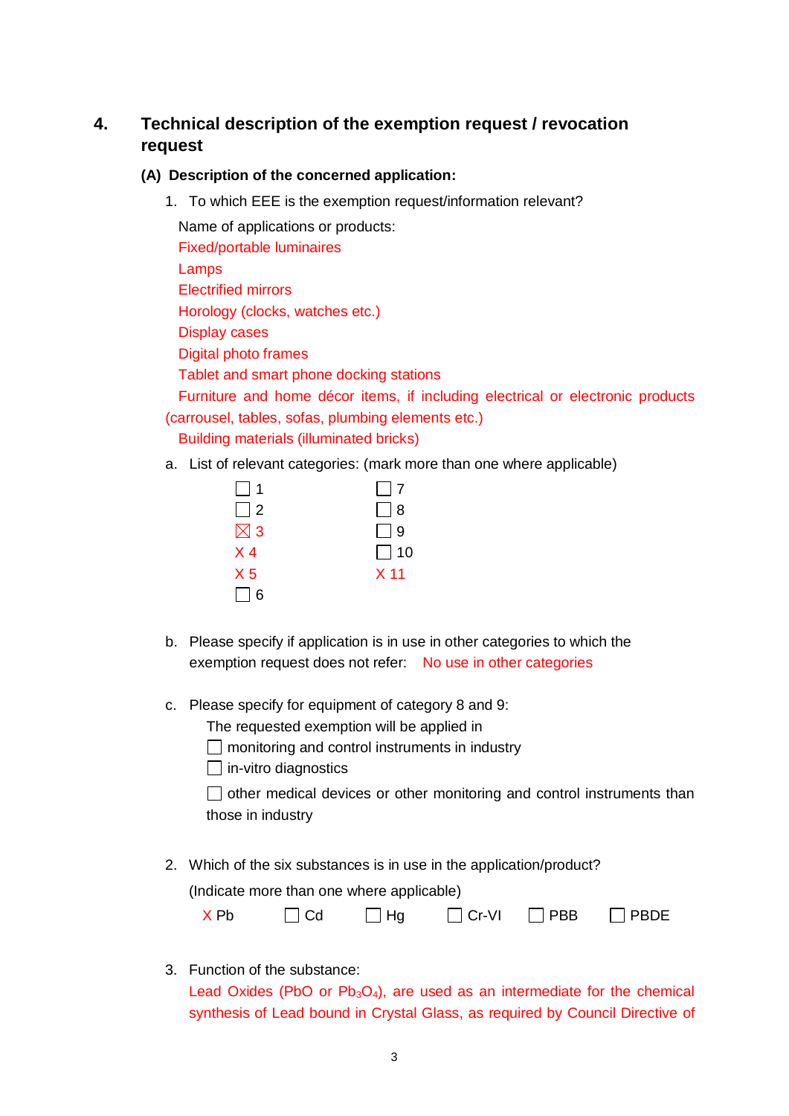## **4. Technical description of the exemption request / revocation request**

### **(A) Description of the concerned application:**

1. To which EEE is the exemption request/information relevant?

Name of applications or products: Fixed/portable luminaires Lamps Electrified mirrors Horology (clocks, watches etc.) Display cases Digital photo frames Tablet and smart phone docking stations Furniture and home décor items, if including electrical or electronic products

(carrousel, tables, sofas, plumbing elements etc.) Building materials (illuminated bricks)

a. List of relevant categories: (mark more than one where applicable)

| $\Box$ 1       | $\Box$ 7        |
|----------------|-----------------|
| $\Box$ 2       | $\Box$ 8        |
| $\boxtimes$ 3  | $\Box$ 9        |
| $X_4$          | $\Box$ 10       |
| X <sub>5</sub> | X <sub>11</sub> |
| $\Box$ 6       |                 |

- b. Please specify if application is in use in other categories to which the exemption request does not refer: No use in other categories
- c. Please specify for equipment of category 8 and 9:

The requested exemption will be applied in

 $\Box$  monitoring and control instruments in industry

 $\Box$  in-vitro diagnostics

 $\Box$  other medical devices or other monitoring and control instruments than those in industry

2. Which of the six substances is in use in the application/product? (Indicate more than one where applicable)

| $\Box$ Cr-VI<br>$\Box$ Hg<br>$\Box$ Cd<br>X Pb | $\Box$ PBDE<br>$\Box$ PBB |
|------------------------------------------------|---------------------------|
|------------------------------------------------|---------------------------|

3. Function of the substance:

Lead Oxides (PbO or  $Pb_3O_4$ ), are used as an intermediate for the chemical synthesis of Lead bound in Crystal Glass, as required by Council Directive of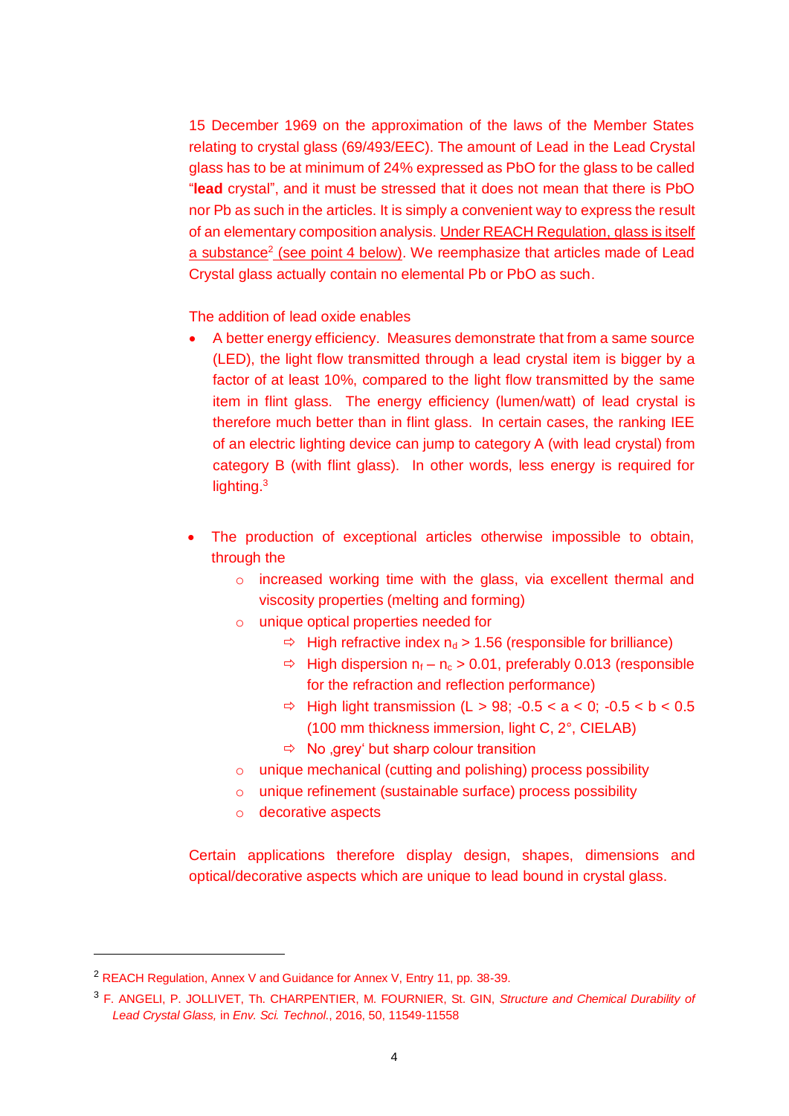15 December 1969 on the approximation of the laws of the Member States relating to crystal glass (69/493/EEC). The amount of Lead in the Lead Crystal glass has to be at minimum of 24% expressed as PbO for the glass to be called "**lead** crystal", and it must be stressed that it does not mean that there is PbO nor Pb as such in the articles. It is simply a convenient way to express the result of an elementary composition analysis. Under REACH Regulation, glass is itself a substance<sup>2</sup> (see point 4 below). We reemphasize that articles made of Lead Crystal glass actually contain no elemental Pb or PbO as such.

The addition of lead oxide enables

- A better energy efficiency. Measures demonstrate that from a same source (LED), the light flow transmitted through a lead crystal item is bigger by a factor of at least 10%, compared to the light flow transmitted by the same item in flint glass. The energy efficiency (lumen/watt) of lead crystal is therefore much better than in flint glass. In certain cases, the ranking IEE of an electric lighting device can jump to category A (with lead crystal) from category B (with flint glass). In other words, less energy is required for lighting. $3$
- The production of exceptional articles otherwise impossible to obtain, through the
	- o increased working time with the glass, via excellent thermal and viscosity properties (melting and forming)
	- o unique optical properties needed for
		- $\Rightarrow$  High refractive index  $n_d > 1.56$  (responsible for brilliance)
		- $\Rightarrow$  High dispersion  $n_f n_c > 0.01$ , preferably 0.013 (responsible for the refraction and reflection performance)
		- $\Rightarrow$  High light transmission (L > 98; -0.5 < a < 0; -0.5 < b < 0.5 (100 mm thickness immersion, light C, 2°, CIELAB)
		- $\Rightarrow$  No , grey' but sharp colour transition
	- o unique mechanical (cutting and polishing) process possibility
	- o unique refinement (sustainable surface) process possibility
	- o decorative aspects

Certain applications therefore display design, shapes, dimensions and optical/decorative aspects which are unique to lead bound in crystal glass.

<sup>2</sup> REACH Regulation, Annex V and Guidance for Annex V, Entry 11, pp. 38-39.

<sup>3</sup> F. ANGELI, P. JOLLIVET, Th. CHARPENTIER, M. FOURNIER, St. GIN, *Structure and Chemical Durability of Lead Crystal Glass,* in *Env. Sci. Technol*., 2016, 50, 11549-11558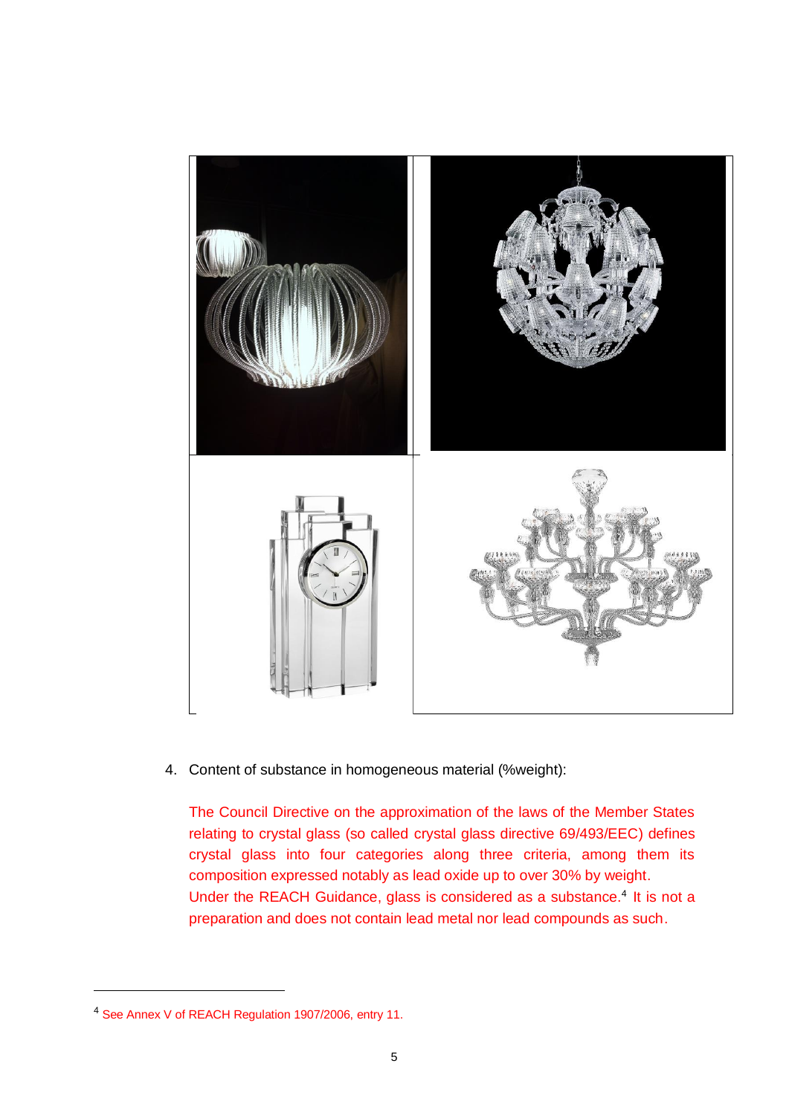

4. Content of substance in homogeneous material (%weight):

The Council Directive on the approximation of the laws of the Member States relating to crystal glass (so called crystal glass directive 69/493/EEC) defines crystal glass into four categories along three criteria, among them its composition expressed notably as lead oxide up to over 30% by weight. Under the REACH Guidance, glass is considered as a substance.<sup>4</sup> It is not a preparation and does not contain lead metal nor lead compounds as such.

<sup>4</sup> See Annex V of REACH Regulation 1907/2006, entry 11.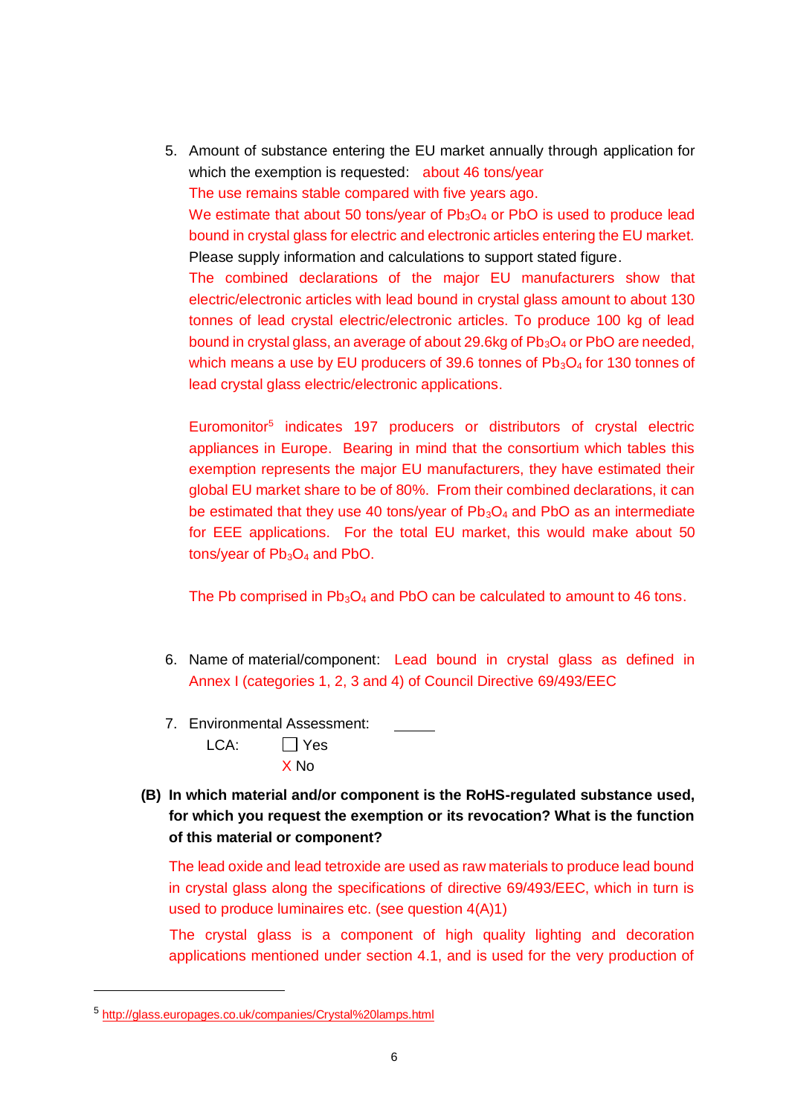5. Amount of substance entering the EU market annually through application for which the exemption is requested: about 46 tons/vear

The use remains stable compared with five years ago.

We estimate that about 50 tons/year of  $Pb_3O_4$  or PbO is used to produce lead bound in crystal glass for electric and electronic articles entering the EU market. Please supply information and calculations to support stated figure.

The combined declarations of the major EU manufacturers show that electric/electronic articles with lead bound in crystal glass amount to about 130 tonnes of lead crystal electric/electronic articles. To produce 100 kg of lead bound in crystal glass, an average of about 29.6kg of  $Pb_3O_4$  or PbO are needed, which means a use by EU producers of 39.6 tonnes of  $Pb_3O_4$  for 130 tonnes of lead crystal glass electric/electronic applications.

Euromonitor<sup>5</sup> indicates 197 producers or distributors of crystal electric appliances in Europe. Bearing in mind that the consortium which tables this exemption represents the major EU manufacturers, they have estimated their global EU market share to be of 80%. From their combined declarations, it can be estimated that they use 40 tons/year of  $Pb_3O_4$  and PbO as an intermediate for EEE applications. For the total EU market, this would make about 50 tons/year of  $Pb_3O_4$  and PbO.

The Pb comprised in  $Pb_3O_4$  and PbO can be calculated to amount to 46 tons.

- 6. Name of material/component: Lead bound in crystal glass as defined in Annex I (categories 1, 2, 3 and 4) of Council Directive 69/493/EEC
- 7. Environmental Assessment:
	- $LCA: \qquad \Box Yes$ X No
- **(B) In which material and/or component is the RoHS-regulated substance used, for which you request the exemption or its revocation? What is the function of this material or component?**

The lead oxide and lead tetroxide are used as raw materials to produce lead bound in crystal glass along the specifications of directive 69/493/EEC, which in turn is used to produce luminaires etc. (see question 4(A)1)

The crystal glass is a component of high quality lighting and decoration applications mentioned under section 4.1, and is used for the very production of

<sup>5</sup> <http://glass.europages.co.uk/companies/Crystal%20lamps.html>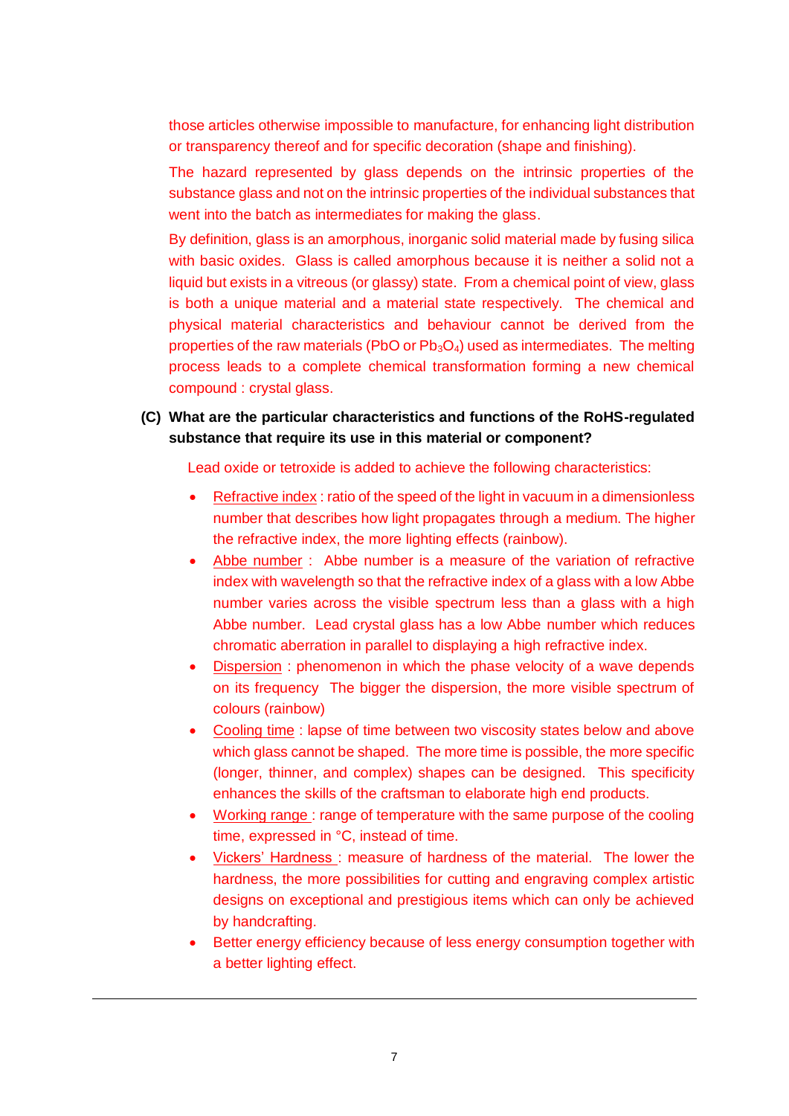those articles otherwise impossible to manufacture, for enhancing light distribution or transparency thereof and for specific decoration (shape and finishing).

The hazard represented by glass depends on the intrinsic properties of the substance glass and not on the intrinsic properties of the individual substances that went into the batch as intermediates for making the glass.

By definition, glass is an amorphous, inorganic solid material made by fusing silica with basic oxides. Glass is called amorphous because it is neither a solid not a liquid but exists in a vitreous (or glassy) state. From a chemical point of view, glass is both a unique material and a material state respectively. The chemical and physical material characteristics and behaviour cannot be derived from the properties of the raw materials (PbO or  $Pb_3O_4$ ) used as intermediates. The melting process leads to a complete chemical transformation forming a new chemical compound : crystal glass.

### **(C) What are the particular characteristics and functions of the RoHS-regulated substance that require its use in this material or component?**

Lead oxide or tetroxide is added to achieve the following characteristics:

- Refractive index : ratio of the speed of the light in vacuum in a dimensionless number that describes how light propagates through a medium. The higher the refractive index, the more lighting effects (rainbow).
- Abbe number : Abbe number is a measure of the variation of refractive index with wavelength so that the refractive index of a glass with a low Abbe number varies across the visible spectrum less than a glass with a high Abbe number. Lead crystal glass has a low Abbe number which reduces chromatic aberration in parallel to displaying a high refractive index.
- Dispersion : phenomenon in which the phase velocity of a wave depends on its frequency The bigger the dispersion, the more visible spectrum of colours (rainbow)
- Cooling time : lapse of time between two viscosity states below and above which glass cannot be shaped. The more time is possible, the more specific (longer, thinner, and complex) shapes can be designed. This specificity enhances the skills of the craftsman to elaborate high end products.
- Working range : range of temperature with the same purpose of the cooling time, expressed in °C, instead of time.
- Vickers' Hardness: measure of hardness of the material. The lower the hardness, the more possibilities for cutting and engraving complex artistic designs on exceptional and prestigious items which can only be achieved by handcrafting.
- Better energy efficiency because of less energy consumption together with a better lighting effect.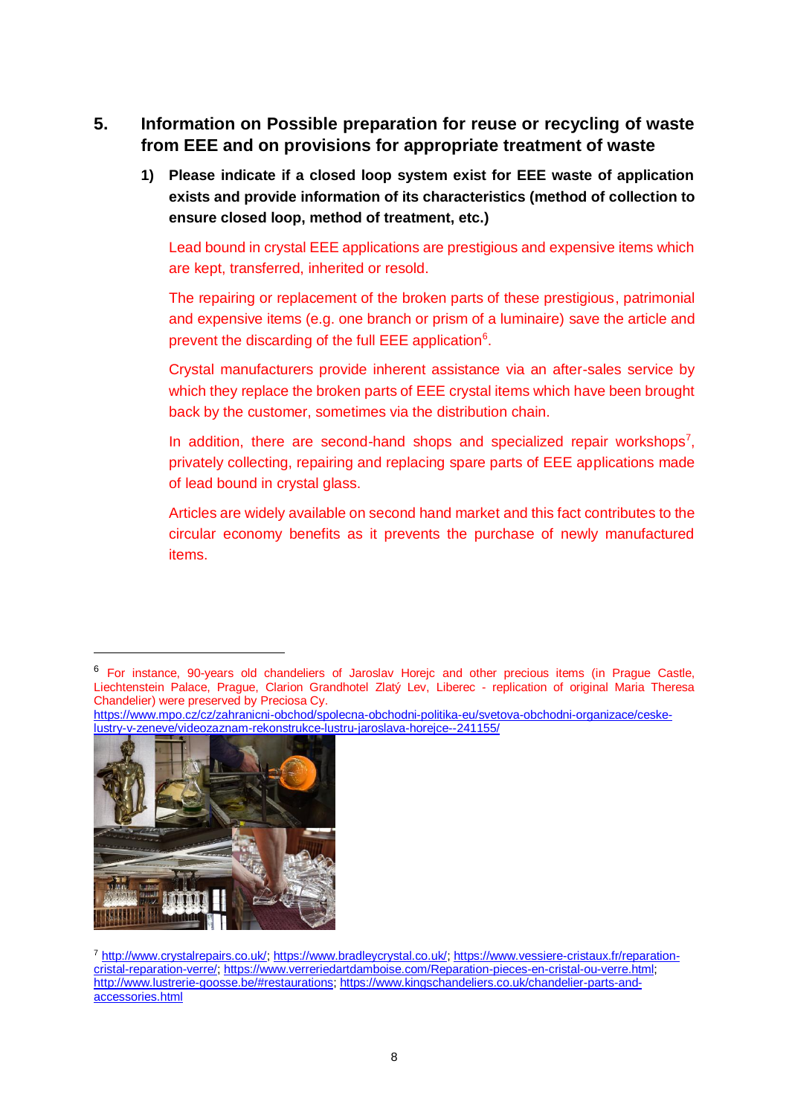### **5. Information on Possible preparation for reuse or recycling of waste from EEE and on provisions for appropriate treatment of waste**

**1) Please indicate if a closed loop system exist for EEE waste of application exists and provide information of its characteristics (method of collection to ensure closed loop, method of treatment, etc.)**

Lead bound in crystal EEE applications are prestigious and expensive items which are kept, transferred, inherited or resold.

The repairing or replacement of the broken parts of these prestigious, patrimonial and expensive items (e.g. one branch or prism of a luminaire) save the article and prevent the discarding of the full EEE application<sup>6</sup>.

Crystal manufacturers provide inherent assistance via an after-sales service by which they replace the broken parts of EEE crystal items which have been brought back by the customer, sometimes via the distribution chain.

In addition, there are second-hand shops and specialized repair workshops<sup>7</sup>, privately collecting, repairing and replacing spare parts of EEE applications made of lead bound in crystal glass.

Articles are widely available on second hand market and this fact contributes to the circular economy benefits as it prevents the purchase of newly manufactured items.

[https://www.mpo.cz/cz/zahranicni-obchod/spolecna-obchodni-politika-eu/svetova-obchodni-organizace/ceske](https://www.mpo.cz/cz/zahranicni-obchod/spolecna-obchodni-politika-eu/svetova-obchodni-organizace/ceske-lustry-v-zeneve/videozaznam-rekonstrukce-lustru-jaroslava-horejce--241155/)[lustry-v-zeneve/videozaznam-rekonstrukce-lustru-jaroslava-horejce--241155/](https://www.mpo.cz/cz/zahranicni-obchod/spolecna-obchodni-politika-eu/svetova-obchodni-organizace/ceske-lustry-v-zeneve/videozaznam-rekonstrukce-lustru-jaroslava-horejce--241155/)



<sup>6</sup> For instance, 90-years old chandeliers of Jaroslav Horejc and other precious items (in Prague Castle, Liechtenstein Palace, Prague, Clarion Grandhotel Zlatý Lev, Liberec - replication of original Maria Theresa Chandelier) were preserved by Preciosa Cy.

<sup>7</sup> [http://www.crystalrepairs.co.uk/;](http://www.crystalrepairs.co.uk/) [https://www.bradleycrystal.co.uk/;](https://www.bradleycrystal.co.uk/) [https://www.vessiere-cristaux.fr/reparation](https://www.vessiere-cristaux.fr/reparation-cristal-reparation-verre/)[cristal-reparation-verre/;](https://www.vessiere-cristaux.fr/reparation-cristal-reparation-verre/) [https://www.verreriedartdamboise.com/Reparation-pieces-en-cristal-ou-verre.html;](https://www.verreriedartdamboise.com/Reparation-pieces-en-cristal-ou-verre.html) [http://www.lustrerie-goosse.be/#restaurations;](http://www.lustrerie-goosse.be/#restaurations) [https://www.kingschandeliers.co.uk/chandelier-parts-and](https://www.kingschandeliers.co.uk/chandelier-parts-and-accessories.html)[accessories.html](https://www.kingschandeliers.co.uk/chandelier-parts-and-accessories.html)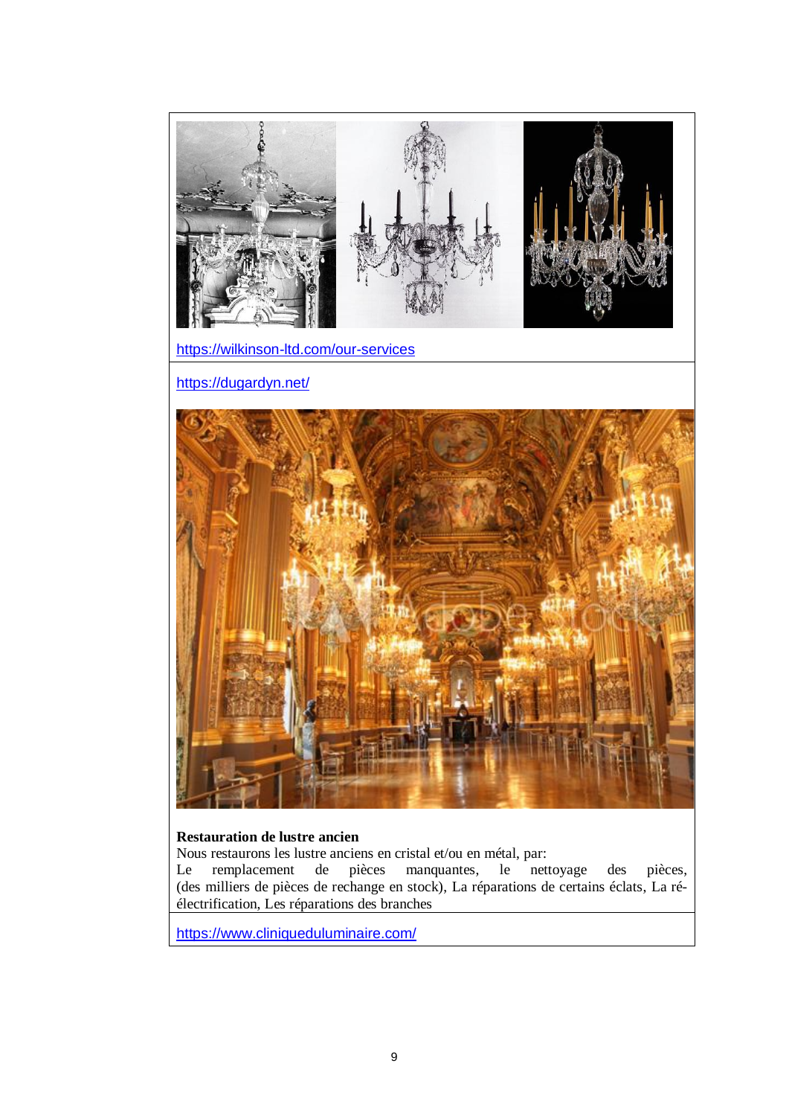

#### **Restauration de lustre ancien**

Nous restaurons les lustre anciens en cristal et/ou en métal, par:<br>
Le remplacement de pièces manquantes, le nettoyage Le remplacement de pièces manquantes, le nettoyage des pièces, (des milliers de pièces de rechange en stock), La réparations de certains éclats, La réélectrification, Les réparations des branches

<https://www.cliniqueduluminaire.com/>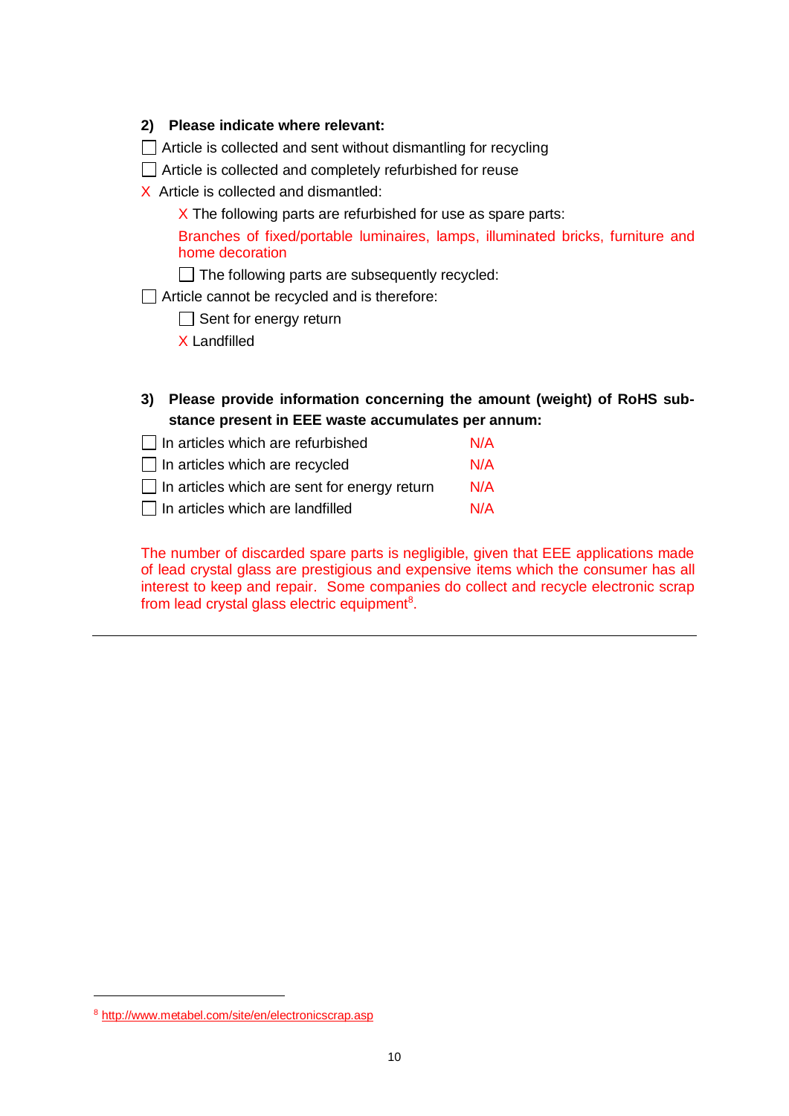| 2) Please indicate where relevant: |
|------------------------------------|
|------------------------------------|

 $\Box$  Article is collected and sent without dismantling for recycling

Article is collected and completely refurbished for reuse

X Article is collected and dismantled:

 $X$  The following parts are refurbished for use as spare parts:

Branches of fixed/portable luminaires, lamps, illuminated bricks, furniture and home decoration

 $\Box$  The following parts are subsequently recycled:

□ Article cannot be recycled and is therefore:

 $\Box$  Sent for energy return

X Landfilled

**3) Please provide information concerning the amount (weight) of RoHS substance present in EEE waste accumulates per annum:**

| $\Box$ In articles which are refurbished            | N/A |
|-----------------------------------------------------|-----|
| $\Box$ In articles which are recycled               | N/A |
| $\Box$ In articles which are sent for energy return | N/A |
| In articles which are landfilled                    | N/A |

The number of discarded spare parts is negligible, given that EEE applications made of lead crystal glass are prestigious and expensive items which the consumer has all interest to keep and repair. Some companies do collect and recycle electronic scrap from lead crystal glass electric equipment<sup>8</sup>.

<sup>8</sup> <http://www.metabel.com/site/en/electronicscrap.asp>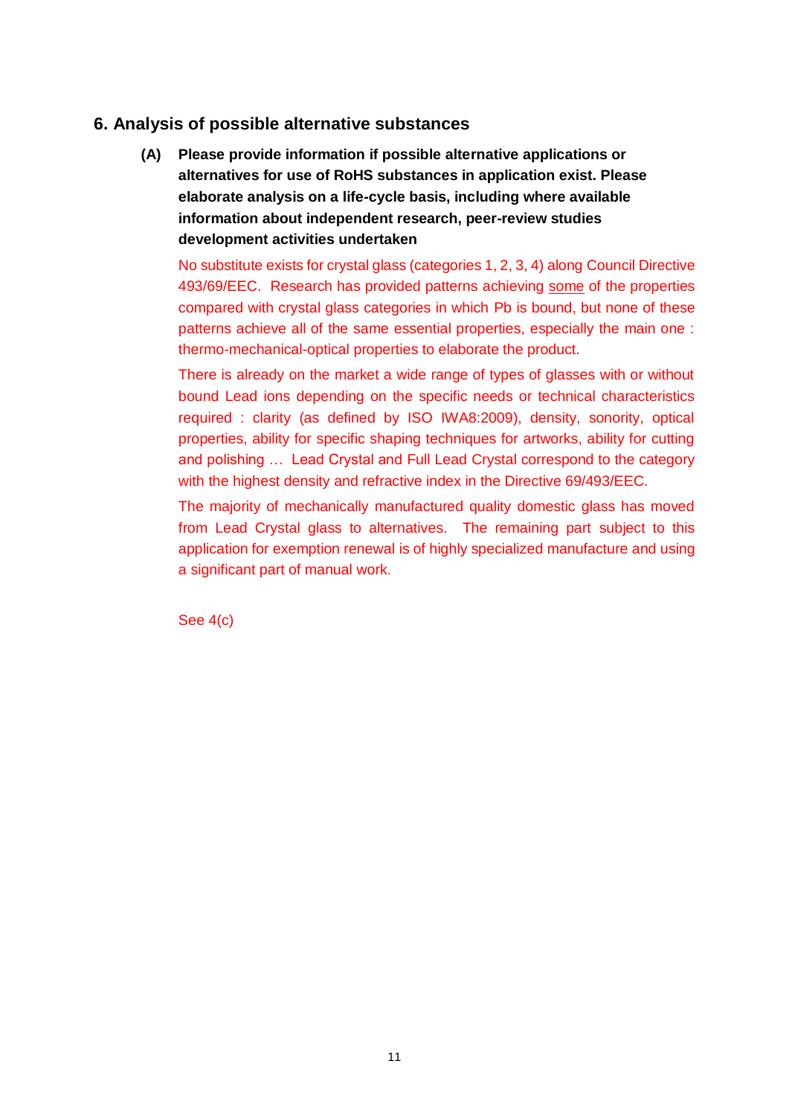### **6. Analysis of possible alternative substances**

**(A) Please provide information if possible alternative applications or alternatives for use of RoHS substances in application exist. Please elaborate analysis on a life-cycle basis, including where available information about independent research, peer-review studies development activities undertaken**

No substitute exists for crystal glass (categories 1, 2, 3, 4) along Council Directive 493/69/EEC. Research has provided patterns achieving some of the properties compared with crystal glass categories in which Pb is bound, but none of these patterns achieve all of the same essential properties, especially the main one : thermo-mechanical-optical properties to elaborate the product.

There is already on the market a wide range of types of glasses with or without bound Lead ions depending on the specific needs or technical characteristics required : clarity (as defined by ISO IWA8:2009), density, sonority, optical properties, ability for specific shaping techniques for artworks, ability for cutting and polishing … Lead Crystal and Full Lead Crystal correspond to the category with the highest density and refractive index in the Directive 69/493/EEC.

The majority of mechanically manufactured quality domestic glass has moved from Lead Crystal glass to alternatives. The remaining part subject to this application for exemption renewal is of highly specialized manufacture and using a significant part of manual work.

See 4(c)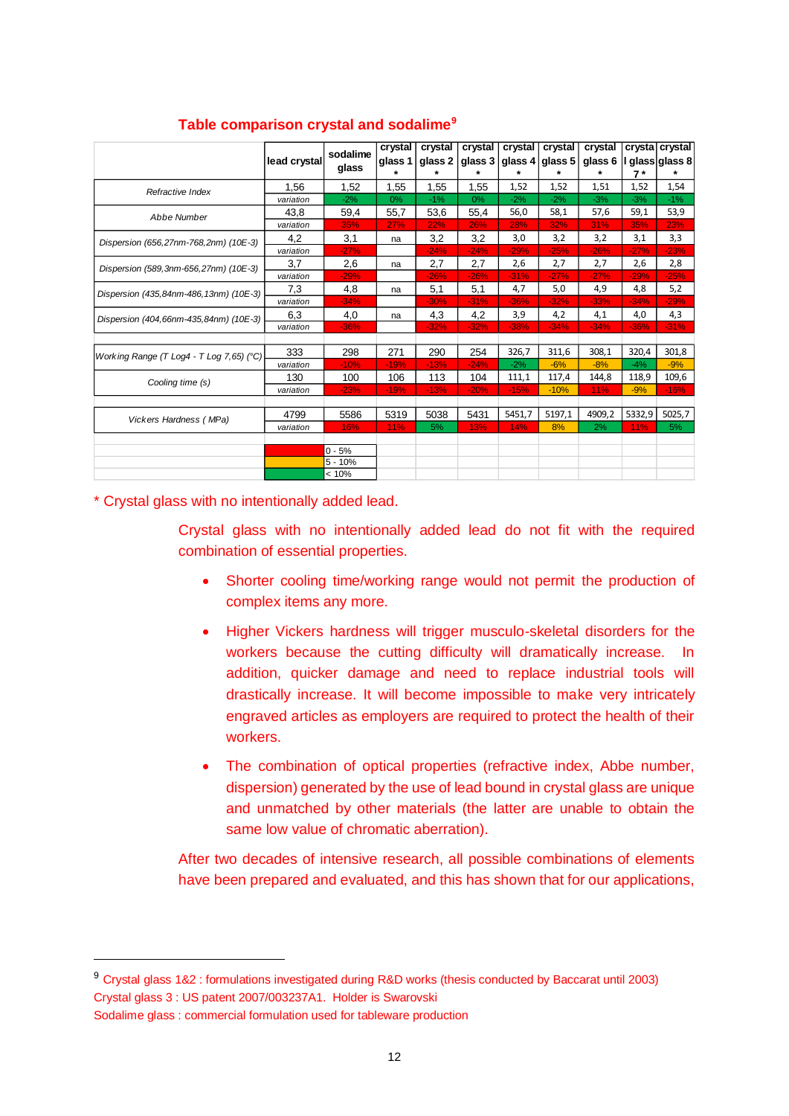|                                          |              |                   | crystal | crystal | crystal | crystal | crystal | crystal |        | crysta crystal |
|------------------------------------------|--------------|-------------------|---------|---------|---------|---------|---------|---------|--------|----------------|
|                                          | lead crystal | sodalime<br>glass | glass 1 | glass 2 | glass 3 | glass 4 | glass 5 | glass 6 |        | glass glass 8  |
|                                          |              |                   | $\star$ | $\star$ |         | *       |         | *       | $7*$   | $\star$        |
| Refractive Index                         | 1.56         | 1,52              | 1,55    | 1,55    | 1,55    | 1,52    | 1,52    | 1,51    | 1,52   | 1,54           |
|                                          | variation    | $-2%$             | 0%      | $-1%$   | 0%      | $-2%$   | $-2%$   | $-3%$   | $-3%$  | $-1%$          |
| Abbe Number                              | 43,8         | 59,4              | 55,7    | 53,6    | 55,4    | 56,0    | 58,1    | 57,6    | 59,1   | 53,9           |
|                                          | variation    | 35%               | 27%     | 22%     | 26%     | 28%     | 32%     | 31%     | 35%    | 23%            |
| Dispersion (656,27nm-768,2nm) (10E-3)    | 4,2          | 3,1               | na      | 3,2     | 3,2     | 3,0     | 3,2     | 3,2     | 3,1    | 3,3            |
|                                          | variation    | $-27%$            |         | $-24%$  | $-24%$  | $-29%$  | $-25%$  | $-26%$  | $-27%$ | $-23%$         |
| Dispersion (589, 3nm-656, 27nm) (10E-3)  | 3,7          | 2,6               | na      | 2,7     | 2,7     | 2,6     | 2,7     | 2,7     | 2,6    | 2,8            |
|                                          | variation    | $-29%$            |         | $-26%$  | $-26%$  | $-31%$  | $-27%$  | $-27%$  | $-29%$ | $-25%$         |
| Dispersion (435,84nm-486,13nm) (10E-3)   | 7.3          | 4,8               | na      | 5,1     | 5,1     | 4,7     | 5,0     | 4,9     | 4,8    | 5,2            |
|                                          | variation    | $-34%$            |         | $-30%$  | $-31%$  | $-36%$  | $-32%$  | $-33%$  | $-34%$ | $-29%$         |
| Dispersion (404,66nm-435,84nm) (10E-3)   | 6.3          | 4,0               | na      | 4,3     | 4,2     | 3,9     | 4,2     | 4,1     | 4,0    | 4,3            |
|                                          | variation    | $-36%$            |         | $-32%$  | $-32%$  | $-38%$  | $-34%$  | $-34%$  | $-36%$ | $-31%$         |
|                                          |              |                   |         |         |         |         |         |         |        |                |
| Working Range (T Log4 - T Log 7,65) (°C) | 333          | 298               | 271     | 290     | 254     | 326,7   | 311,6   | 308,1   | 320,4  | 301,8          |
|                                          | variation    | $-10%$            | $-19%$  | $-13%$  | $-24%$  | $-2%$   | $-6%$   | $-8%$   | $-4%$  | $-9%$          |
| Cooling time (s)                         | 130          | 100               | 106     | 113     | 104     | 111,1   | 117,4   | 144,8   | 118,9  | 109,6          |
|                                          | variation    | $-23%$            | $-19%$  | $-13%$  | $-20%$  | $-15%$  | $-10%$  | 11%     | $-9%$  | $-16%$         |
|                                          |              |                   |         |         |         |         |         |         |        |                |
| Vickers Hardness (MPa)                   | 4799         | 5586              | 5319    | 5038    | 5431    | 5451,7  | 5197,1  | 4909,2  | 5332,9 | 5025,7         |
|                                          | variation    | 16%               | 11%     | 5%      | 13%     | 14%     | 8%      | 2%      | 11%    | 5%             |
|                                          |              |                   |         |         |         |         |         |         |        |                |
|                                          |              | $0 - 5%$          |         |         |         |         |         |         |        |                |
|                                          |              | $5 - 10%$         |         |         |         |         |         |         |        |                |
|                                          |              | < 10%             |         |         |         |         |         |         |        |                |

### **Table comparison crystal and sodalime<sup>9</sup>**

\* Crystal glass with no intentionally added lead.

Crystal glass with no intentionally added lead do not fit with the required combination of essential properties.

- Shorter cooling time/working range would not permit the production of complex items any more.
- Higher Vickers hardness will trigger musculo-skeletal disorders for the workers because the cutting difficulty will dramatically increase. In addition, quicker damage and need to replace industrial tools will drastically increase. It will become impossible to make very intricately engraved articles as employers are required to protect the health of their workers.
- The combination of optical properties (refractive index, Abbe number, dispersion) generated by the use of lead bound in crystal glass are unique and unmatched by other materials (the latter are unable to obtain the same low value of chromatic aberration).

After two decades of intensive research, all possible combinations of elements have been prepared and evaluated, and this has shown that for our applications,

<sup>9</sup> Crystal glass 1&2 : formulations investigated during R&D works (thesis conducted by Baccarat until 2003) Crystal glass 3 : US patent 2007/003237A1. Holder is Swarovski

Sodalime glass : commercial formulation used for tableware production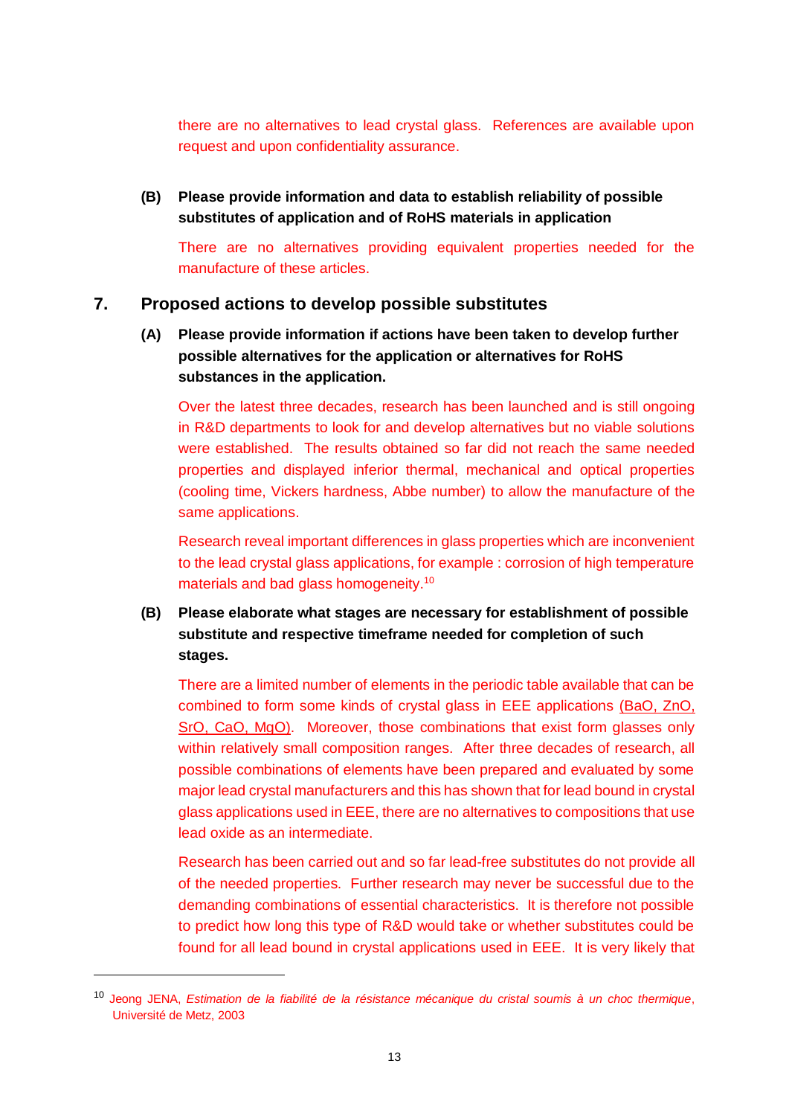there are no alternatives to lead crystal glass. References are available upon request and upon confidentiality assurance.

**(B) Please provide information and data to establish reliability of possible substitutes of application and of RoHS materials in application**

There are no alternatives providing equivalent properties needed for the manufacture of these articles.

#### **7. Proposed actions to develop possible substitutes**

**(A) Please provide information if actions have been taken to develop further possible alternatives for the application or alternatives for RoHS substances in the application.** 

Over the latest three decades, research has been launched and is still ongoing in R&D departments to look for and develop alternatives but no viable solutions were established. The results obtained so far did not reach the same needed properties and displayed inferior thermal, mechanical and optical properties (cooling time, Vickers hardness, Abbe number) to allow the manufacture of the same applications.

Research reveal important differences in glass properties which are inconvenient to the lead crystal glass applications, for example : corrosion of high temperature materials and bad glass homogeneity.<sup>10</sup>

**(B) Please elaborate what stages are necessary for establishment of possible substitute and respective timeframe needed for completion of such stages.**

There are a limited number of elements in the periodic table available that can be combined to form some kinds of crystal glass in EEE applications (BaO, ZnO, SrO, CaO, MgO). Moreover, those combinations that exist form glasses only within relatively small composition ranges. After three decades of research, all possible combinations of elements have been prepared and evaluated by some major lead crystal manufacturers and this has shown that for lead bound in crystal glass applications used in EEE, there are no alternatives to compositions that use lead oxide as an intermediate.

Research has been carried out and so far lead-free substitutes do not provide all of the needed properties. Further research may never be successful due to the demanding combinations of essential characteristics. It is therefore not possible to predict how long this type of R&D would take or whether substitutes could be found for all lead bound in crystal applications used in EEE. It is very likely that

<sup>10</sup> Jeong JENA, *Estimation de la fiabilité de la résistance mécanique du cristal soumis à un choc thermique*, Université de Metz, 2003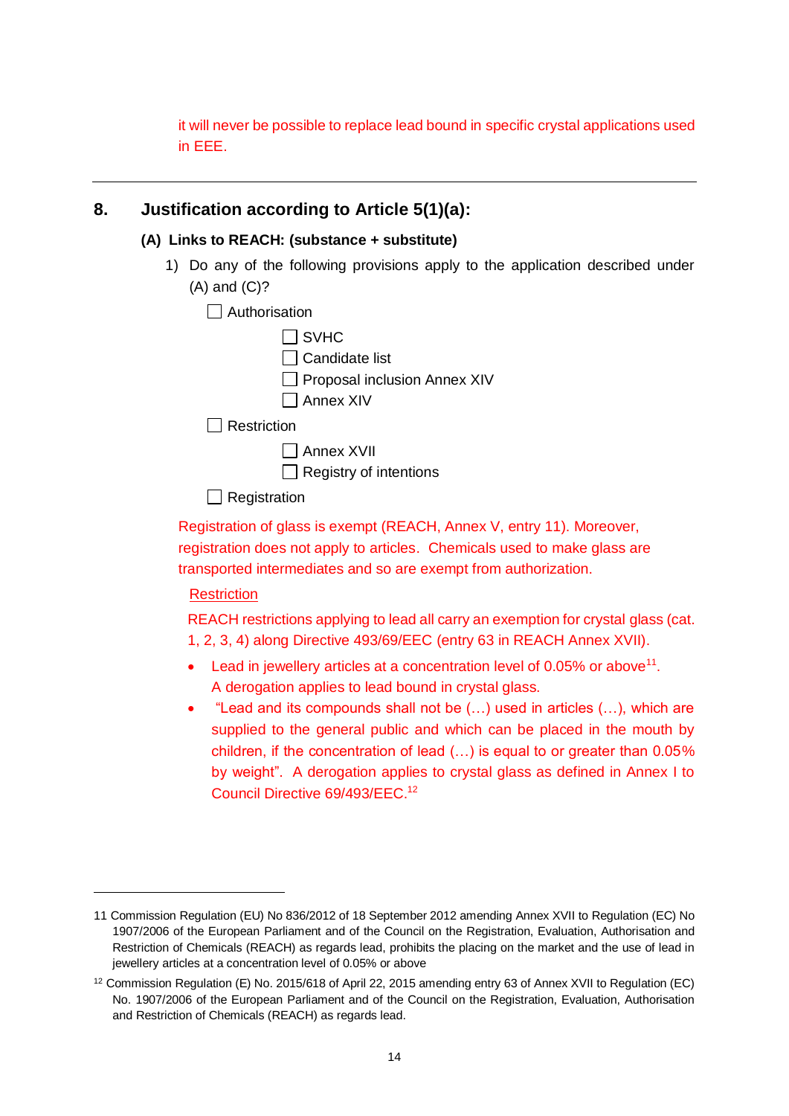it will never be possible to replace lead bound in specific crystal applications used in EEE.

### **8. Justification according to Article 5(1)(a):**

### **(A) Links to REACH: (substance + substitute)**

- 1) Do any of the following provisions apply to the application described under (A) and (C)?
	- $\Box$  Authorisation

| $\Box$ SVHC                         |  |
|-------------------------------------|--|
| Candidate list                      |  |
| $\Box$ Proposal inclusion Annex XIV |  |
| $\Box$ Annex XIV                    |  |
| Restriction                         |  |
| $\Box$ Annex XVII                   |  |
| $\Box$ Registry of intentions       |  |

 $\Box$  Registration

Registration of glass is exempt (REACH, Annex V, entry 11). Moreover, registration does not apply to articles. Chemicals used to make glass are transported intermediates and so are exempt from authorization.

### **Restriction**

 $\overline{a}$ 

REACH restrictions applying to lead all carry an exemption for crystal glass (cat. 1, 2, 3, 4) along Directive 493/69/EEC (entry 63 in REACH Annex XVII).

- $\bullet$  Lead in jewellery articles at a concentration level of 0.05% or above<sup>11</sup>. A derogation applies to lead bound in crystal glass.
- "Lead and its compounds shall not be (…) used in articles (…), which are supplied to the general public and which can be placed in the mouth by children, if the concentration of lead (…) is equal to or greater than 0.05% by weight". A derogation applies to crystal glass as defined in Annex I to Council Directive 69/493/EEC. 12

<sup>11</sup> [Commission Regulation \(EU\) No 836/2012](http://eur-lex.europa.eu/LexUriServ/LexUriServ.do?uri=OJ:L:2012:252:0004:0006:EN:PDF) of 18 September 2012 amending Annex XVII to Regulation (EC) No 1907/2006 of the European Parliament and of the Council on the Registration, Evaluation, Authorisation and Restriction of Chemicals (REACH) as regards lead, prohibits the placing on the market and the use of lead in jewellery articles at a concentration level of 0.05% or above

<sup>12</sup> Commission Regulation (E) No. 2015/618 of April 22, 2015 amending entry 63 of Annex XVII to Regulation (EC) No. 1907/2006 of the European Parliament and of the Council on the Registration, Evaluation, Authorisation and Restriction of Chemicals (REACH) as regards lead.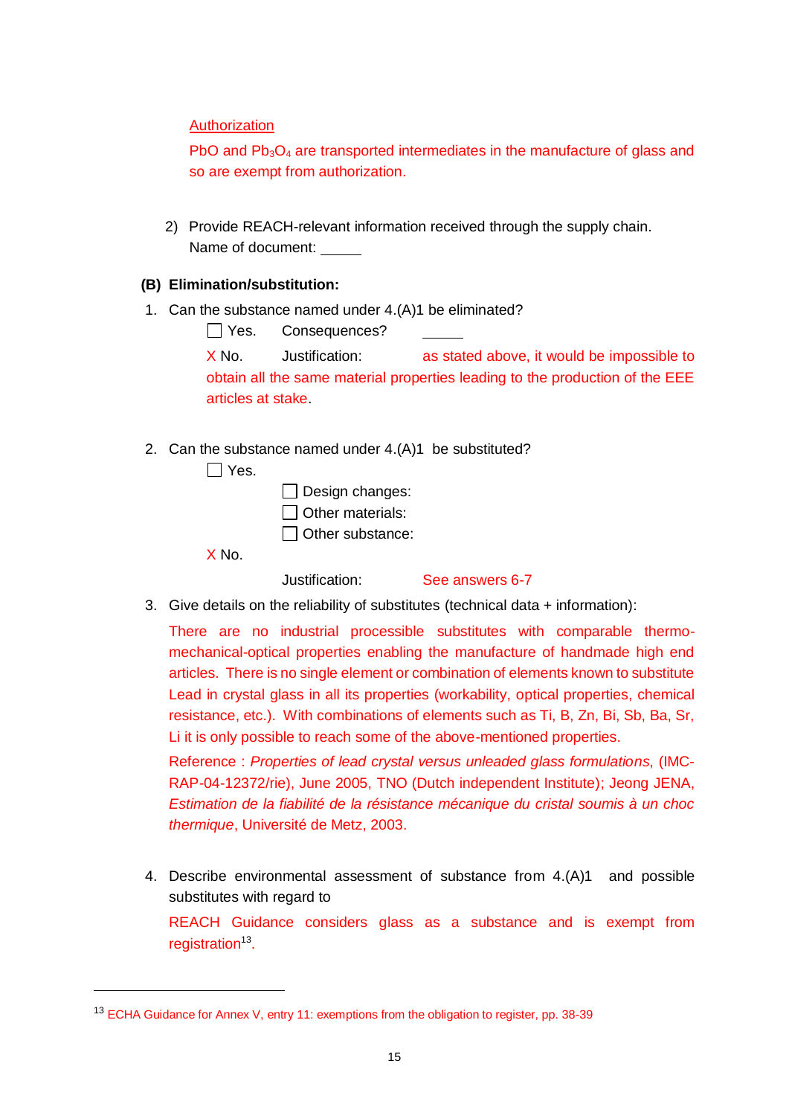Authorization

PbO and Pb<sub>3</sub>O<sub>4</sub> are transported intermediates in the manufacture of glass and so are exempt from authorization.

2) Provide REACH-relevant information received through the supply chain. Name of document:

#### **(B) Elimination/substitution:**

1. Can the substance named under 4.(A)1 be eliminated?

Yes. Consequences?

X No. Justification: as stated above, it would be impossible to obtain all the same material properties leading to the production of the EEE articles at stake.

2. Can the substance named under 4.(A)1 be substituted?

 $\Box$  Yes.

 $\Box$  Design changes:  $\Box$  Other materials: □ Other substance:

X No.

Justification: See answers 6-7

3. Give details on the reliability of substitutes (technical data + information):

There are no industrial processible substitutes with comparable thermomechanical-optical properties enabling the manufacture of handmade high end articles. There is no single element or combination of elements known to substitute Lead in crystal glass in all its properties (workability, optical properties, chemical resistance, etc.). With combinations of elements such as Ti, B, Zn, Bi, Sb, Ba, Sr, Li it is only possible to reach some of the above-mentioned properties.

Reference : *Properties of lead crystal versus unleaded glass formulations*, (IMC-RAP-04-12372/rie), June 2005, TNO (Dutch independent Institute); Jeong JENA, *Estimation de la fiabilité de la résistance mécanique du cristal soumis à un choc thermique*, Université de Metz, 2003.

4. Describe environmental assessment of substance from 4.(A)1 and possible substitutes with regard to

REACH Guidance considers glass as a substance and is exempt from registration<sup>13</sup>.

<sup>&</sup>lt;sup>13</sup> ECHA Guidance for Annex V, entry 11: exemptions from the obligation to register, pp. 38-39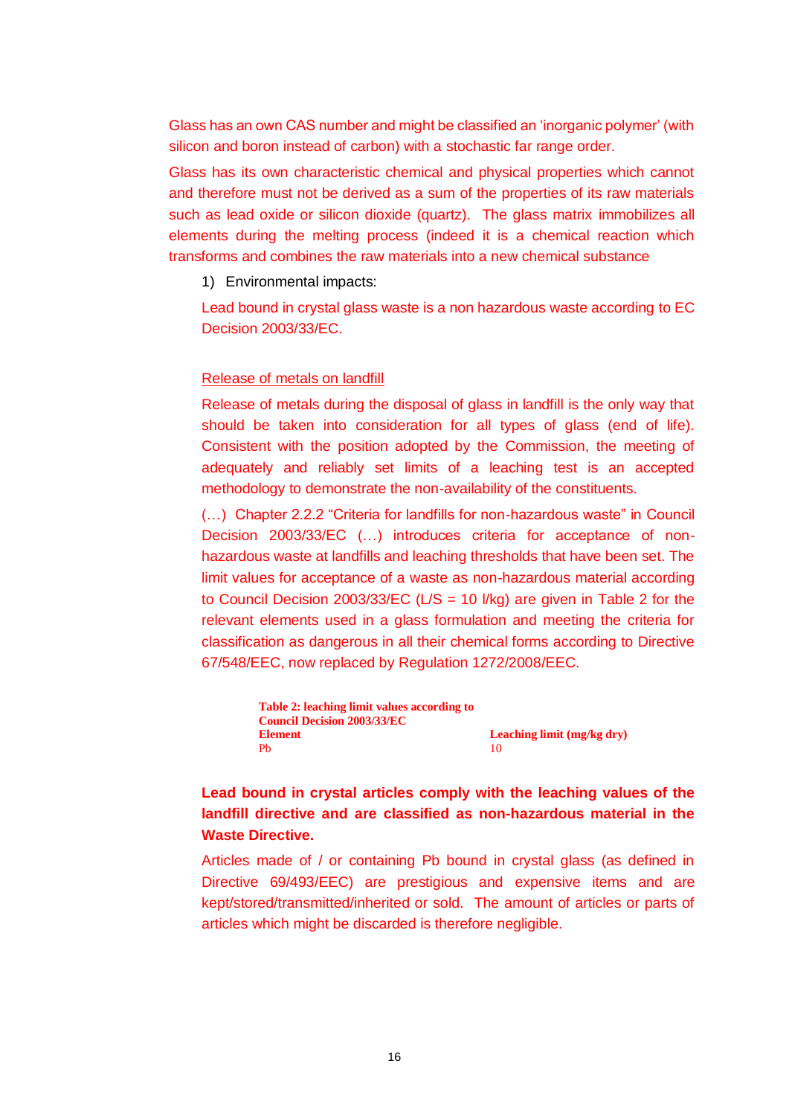Glass has an own CAS number and might be classified an 'inorganic polymer' (with silicon and boron instead of carbon) with a stochastic far range order.

Glass has its own characteristic chemical and physical properties which cannot and therefore must not be derived as a sum of the properties of its raw materials such as lead oxide or silicon dioxide (quartz). The glass matrix immobilizes all elements during the melting process (indeed it is a chemical reaction which transforms and combines the raw materials into a new chemical substance

1) Environmental impacts:

Lead bound in crystal glass waste is a non hazardous waste according to EC Decision 2003/33/EC.

#### Release of metals on landfill

Release of metals during the disposal of glass in landfill is the only way that should be taken into consideration for all types of glass (end of life). Consistent with the position adopted by the Commission, the meeting of adequately and reliably set limits of a leaching test is an accepted methodology to demonstrate the non-availability of the constituents.

(…) Chapter 2.2.2 "Criteria for landfills for non-hazardous waste" in Council Decision 2003/33/EC (…) introduces criteria for acceptance of nonhazardous waste at landfills and leaching thresholds that have been set. The limit values for acceptance of a waste as non-hazardous material according to Council Decision 2003/33/EC ( $L/S = 10$  *l/kg)* are given in Table 2 for the relevant elements used in a glass formulation and meeting the criteria for classification as dangerous in all their chemical forms according to Directive 67/548/EEC, now replaced by Regulation 1272/2008/EEC.



### **Lead bound in crystal articles comply with the leaching values of the landfill directive and are classified as non-hazardous material in the Waste Directive.**

Articles made of / or containing Pb bound in crystal glass (as defined in Directive 69/493/EEC) are prestigious and expensive items and are kept/stored/transmitted/inherited or sold. The amount of articles or parts of articles which might be discarded is therefore negligible.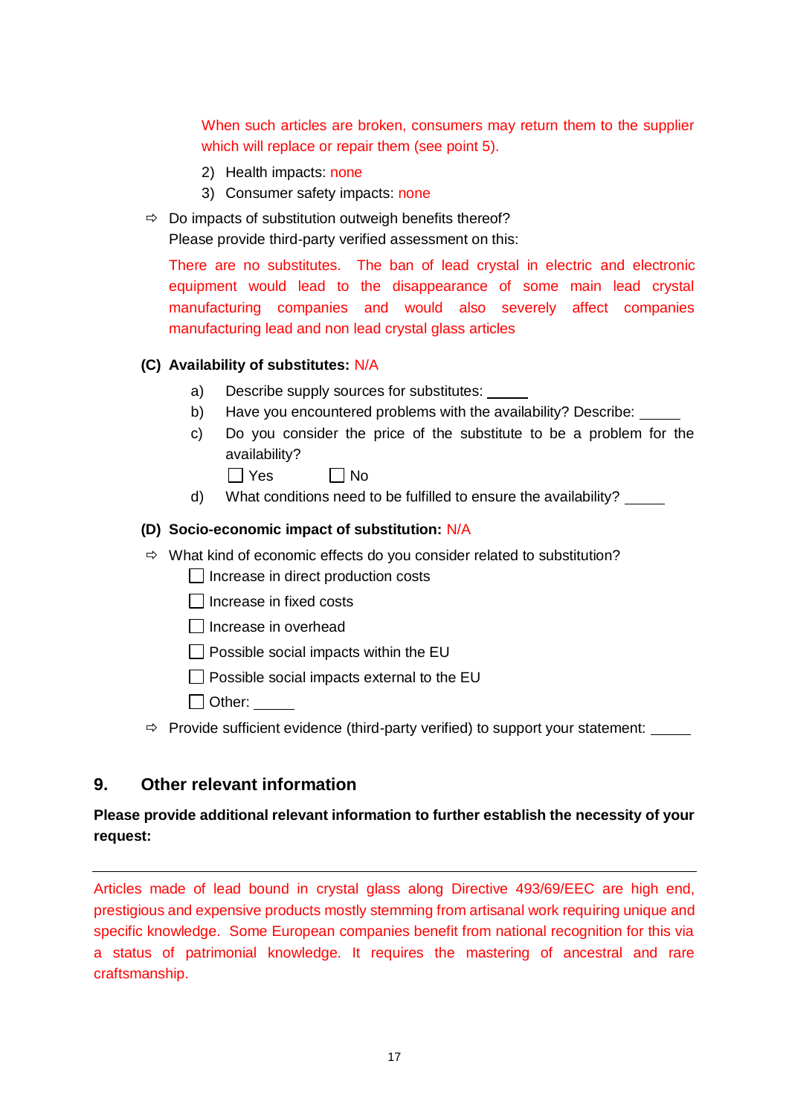When such articles are broken, consumers may return them to the supplier which will replace or repair them (see point 5).

- 2) Health impacts: none
- 3) Consumer safety impacts: none
- $\Rightarrow$  Do impacts of substitution outweigh benefits thereof?

Please provide third-party verified assessment on this:

There are no substitutes. The ban of lead crystal in electric and electronic equipment would lead to the disappearance of some main lead crystal manufacturing companies and would also severely affect companies manufacturing lead and non lead crystal glass articles

#### **(C) Availability of substitutes:** N/A

- a) Describe supply sources for substitutes:
- b) Have you encountered problems with the availability? Describe:
- c) Do you consider the price of the substitute to be a problem for the availability?
	- $\Box$  Yes  $\Box$  No
- d) What conditions need to be fulfilled to ensure the availability?

#### **(D) Socio-economic impact of substitution:** N/A

- $\Rightarrow$  What kind of economic effects do you consider related to substitution?
	- $\Box$  Increase in direct production costs
	- $\Box$  Increase in fixed costs
	- $\Box$  Increase in overhead
	- $\Box$  Possible social impacts within the EU
	- $\Box$  Possible social impacts external to the EU
	- □ Other:
- $\Rightarrow$  Provide sufficient evidence (third-party verified) to support your statement:

### **9. Other relevant information**

### **Please provide additional relevant information to further establish the necessity of your request:**

Articles made of lead bound in crystal glass along Directive 493/69/EEC are high end, prestigious and expensive products mostly stemming from artisanal work requiring unique and specific knowledge. Some European companies benefit from national recognition for this via a status of patrimonial knowledge. It requires the mastering of ancestral and rare craftsmanship.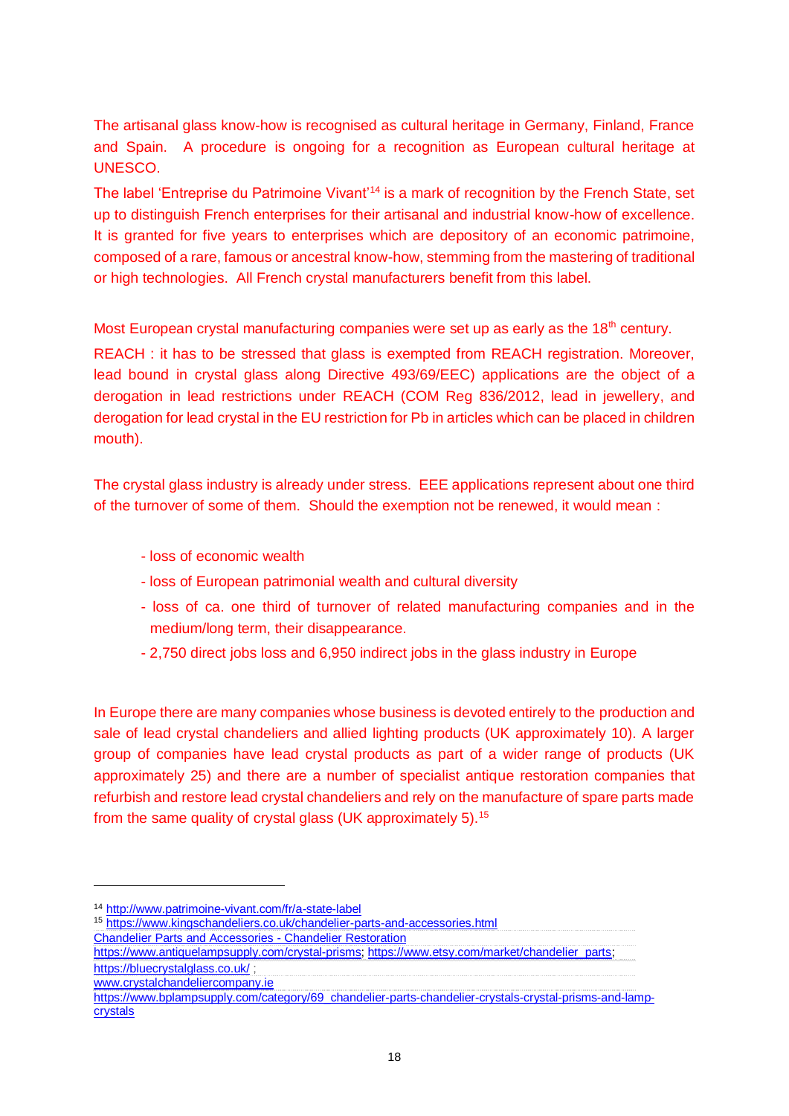The artisanal glass know-how is recognised as cultural heritage in Germany, Finland, France and Spain. A procedure is ongoing for a recognition as European cultural heritage at UNESCO.

The label 'Entreprise du Patrimoine Vivant<sup>14</sup> is a mark of recognition by the French State, set up to distinguish French enterprises for their artisanal and industrial know-how of excellence. It is granted for five years to enterprises which are depository of an economic patrimoine, composed of a rare, famous or ancestral know-how, stemming from the mastering of traditional or high technologies. All French crystal manufacturers benefit from this label.

Most European crystal manufacturing companies were set up as early as the 18<sup>th</sup> century.

REACH : it has to be stressed that glass is exempted from REACH registration. Moreover, lead bound in crystal glass along Directive 493/69/EEC) applications are the object of a derogation in lead restrictions under REACH (COM Reg 836/2012, lead in jewellery, and derogation for lead crystal in the EU restriction for Pb in articles which can be placed in children mouth).

The crystal glass industry is already under stress. EEE applications represent about one third of the turnover of some of them. Should the exemption not be renewed, it would mean :

- loss of economic wealth
- loss of European patrimonial wealth and cultural diversity
- loss of ca. one third of turnover of related manufacturing companies and in the medium/long term, their disappearance.
- 2,750 direct jobs loss and 6,950 indirect jobs in the glass industry in Europe

In Europe there are many companies whose business is devoted entirely to the production and sale of lead crystal chandeliers and allied lighting products (UK approximately 10). A larger group of companies have lead crystal products as part of a wider range of products (UK approximately 25) and there are a number of specialist antique restoration companies that refurbish and restore lead crystal chandeliers and rely on the manufacture of spare parts made from the same quality of crystal glass (UK approximately 5).<sup>15</sup>

<sup>14</sup> <http://www.patrimoine-vivant.com/fr/a-state-label>

<sup>15</sup> <https://www.kingschandeliers.co.uk/chandelier-parts-and-accessories.html>

[Chandelier Parts and Accessories -](https://www.kingschandeliers.co.uk/chandelier-parts-and-accessories.html) Chandelier Restoration

[https://www.antiquelampsupply.com/crystal-prisms;](https://www.antiquelampsupply.com/crystal-prisms) [https://www.etsy.com/market/chandelier\\_parts;](https://www.etsy.com/market/chandelier_parts) <https://bluecrystalglass.co.uk/> ;

[www.crystalchandeliercompany.ie](http://www.crystalchandeliercompany.ie/)

[https://www.bplampsupply.com/category/69\\_chandelier-parts-chandelier-crystals-crystal-prisms-and-lamp](https://www.bplampsupply.com/category/69_chandelier-parts-chandelier-crystals-crystal-prisms-and-lamp-crystals)[crystals](https://www.bplampsupply.com/category/69_chandelier-parts-chandelier-crystals-crystal-prisms-and-lamp-crystals)